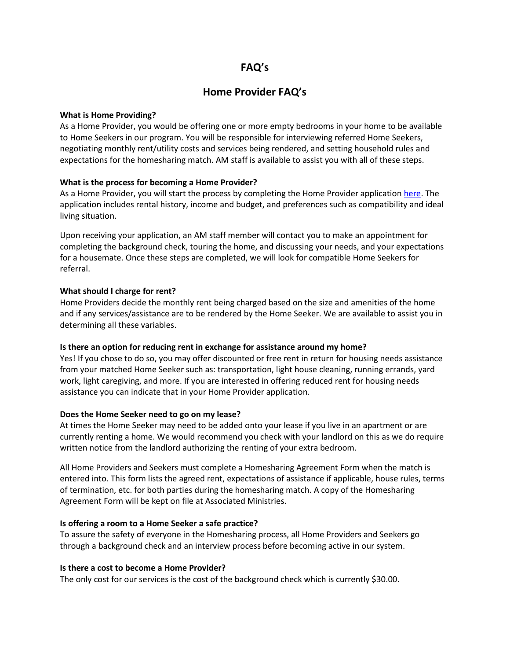# **FAQ's**

# **Home Provider FAQ's**

## **What is Home Providing?**

As a Home Provider, you would be offering one or more empty bedrooms in your home to be available to Home Seekers in our program. You will be responsible for interviewing referred Home Seekers, negotiating monthly rent/utility costs and services being rendered, and setting household rules and expectations for the homesharing match. AM staff is available to assist you with all of these steps.

# **What is the process for becoming a Home Provider?**

As a Home Provider, you will start the process by completing the Home Provider application [here.](https://form.jotform.com/220165494046151) The application includes rental history, income and budget, and preferences such as compatibility and ideal living situation.

Upon receiving your application, an AM staff member will contact you to make an appointment for completing the background check, touring the home, and discussing your needs, and your expectations for a housemate. Once these steps are completed, we will look for compatible Home Seekers for referral.

## **What should I charge for rent?**

Home Providers decide the monthly rent being charged based on the size and amenities of the home and if any services/assistance are to be rendered by the Home Seeker. We are available to assist you in determining all these variables.

# **Is there an option for reducing rent in exchange for assistance around my home?**

Yes! If you chose to do so, you may offer discounted or free rent in return for housing needs assistance from your matched Home Seeker such as: transportation, light house cleaning, running errands, yard work, light caregiving, and more. If you are interested in offering reduced rent for housing needs assistance you can indicate that in your Home Provider application.

# **Does the Home Seeker need to go on my lease?**

At times the Home Seeker may need to be added onto your lease if you live in an apartment or are currently renting a home. We would recommend you check with your landlord on this as we do require written notice from the landlord authorizing the renting of your extra bedroom.

All Home Providers and Seekers must complete a Homesharing Agreement Form when the match is entered into. This form lists the agreed rent, expectations of assistance if applicable, house rules, terms of termination, etc. for both parties during the homesharing match. A copy of the Homesharing Agreement Form will be kept on file at Associated Ministries.

#### **Is offering a room to a Home Seeker a safe practice?**

To assure the safety of everyone in the Homesharing process, all Home Providers and Seekers go through a background check and an interview process before becoming active in our system.

# **Is there a cost to become a Home Provider?**

The only cost for our services is the cost of the background check which is currently \$30.00.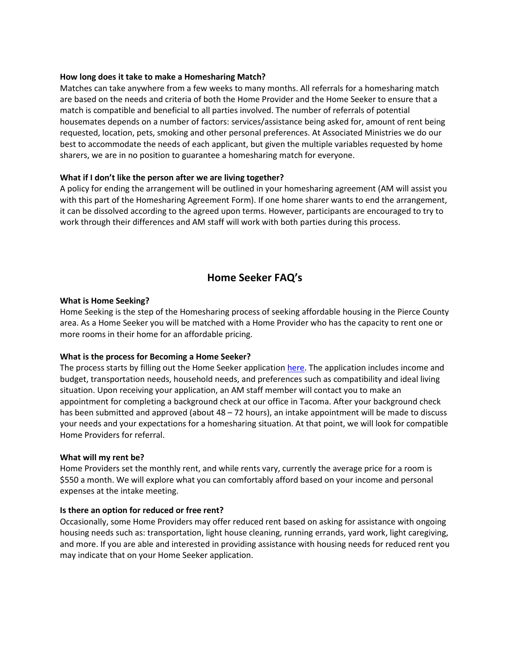## **How long does it take to make a Homesharing Match?**

Matches can take anywhere from a few weeks to many months. All referrals for a homesharing match are based on the needs and criteria of both the Home Provider and the Home Seeker to ensure that a match is compatible and beneficial to all parties involved. The number of referrals of potential housemates depends on a number of factors: services/assistance being asked for, amount of rent being requested, location, pets, smoking and other personal preferences. At Associated Ministries we do our best to accommodate the needs of each applicant, but given the multiple variables requested by home sharers, we are in no position to guarantee a homesharing match for everyone.

# **What if I don't like the person after we are living together?**

A policy for ending the arrangement will be outlined in your homesharing agreement (AM will assist you with this part of the Homesharing Agreement Form). If one home sharer wants to end the arrangement, it can be dissolved according to the agreed upon terms. However, participants are encouraged to try to work through their differences and AM staff will work with both parties during this process.

# **Home Seeker FAQ's**

#### **What is Home Seeking?**

Home Seeking is the step of the Homesharing process of seeking affordable housing in the Pierce County area. As a Home Seeker you will be matched with a Home Provider who has the capacity to rent one or more rooms in their home for an affordable pricing.

#### **What is the process for Becoming a Home Seeker?**

The process starts by filling out the Home Seeker application [here.](https://form.jotform.com/61367546862162) The application includes income and budget, transportation needs, household needs, and preferences such as compatibility and ideal living situation. Upon receiving your application, an AM staff member will contact you to make an appointment for completing a background check at our office in Tacoma. After your background check has been submitted and approved (about 48 – 72 hours), an intake appointment will be made to discuss your needs and your expectations for a homesharing situation. At that point, we will look for compatible Home Providers for referral.

#### **What will my rent be?**

Home Providers set the monthly rent, and while rents vary, currently the average price for a room is \$550 a month. We will explore what you can comfortably afford based on your income and personal expenses at the intake meeting.

# **Is there an option for reduced or free rent?**

Occasionally, some Home Providers may offer reduced rent based on asking for assistance with ongoing housing needs such as: transportation, light house cleaning, running errands, yard work, light caregiving, and more. If you are able and interested in providing assistance with housing needs for reduced rent you may indicate that on your Home Seeker application.